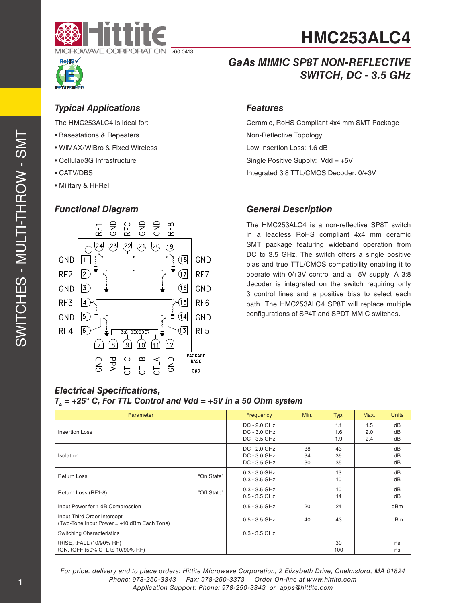

## *Typical Applications*

The HMC253ALC4 is ideal for:

- Basestations & Repeaters
- WiMAX/WiBro & Fixed Wireless
- Cellular/3G Infrastructure
- CATV/DBS
- Military & Hi-Rel

## *Functional Diagram*



## *GaAs MIMIC SP8T NON-REFLECTIVE SWITCH, DC - 3.5 GHz*

**HMC253ALC4**

### *Features*

Ceramic, RoHS Compliant 4x4 mm SMT Package Non-Reflective Topology Low Insertion Loss: 1.6 dB Single Positive Supply:  $Vdd = +5V$ Integrated 3:8 TTL/CMOS Decoder: 0/+3V

## *General Description*

The HMC253ALC4 is a non-reflective SP8T switch in a leadless RoHS compliant 4x4 mm ceramic SMT package featuring wideband operation from DC to 3.5 GHz. The switch offers a single positive bias and true TTL/CMOS compatibility enabling it to operate with 0/+3V control and a +5V supply. A 3:8 decoder is integrated on the switch requiring only 3 control lines and a positive bias to select each path. The HMC253ALC4 SP8T will replace multiple configurations of SP4T and SPDT MMIC switches.

### *Electrical Specifications,*  $T_A$  = +25° C, For TTL Control and Vdd = +5V in a 50 Ohm system

| <b>Parameter</b>                                                          |             | Frequency                                    | Min.           | Typ.              | Max.              | <b>Units</b>   |
|---------------------------------------------------------------------------|-------------|----------------------------------------------|----------------|-------------------|-------------------|----------------|
| Insertion Loss                                                            |             | DC - 2.0 GHz<br>DC - 3.0 GHz<br>DC - 3.5 GHz |                | 1.1<br>1.6<br>1.9 | 1.5<br>2.0<br>2.4 | dB<br>dB<br>dB |
| Isolation                                                                 |             | DC - 2.0 GHz<br>DC - 3.0 GHz<br>DC - 3.5 GHz | 38<br>34<br>30 | 43<br>39<br>35    |                   | dB<br>dB<br>dB |
| <b>Return Loss</b>                                                        | "On State"  | $0.3 - 3.0$ GHz<br>$0.3 - 3.5$ GHz           |                | 13<br>10          |                   | dB<br>dB       |
| Return Loss (RF1-8)                                                       | "Off State" | $0.3 - 3.5$ GHz<br>$0.5 - 3.5$ GHz           |                | 10<br>14          |                   | dB<br>dB       |
| Input Power for 1 dB Compression                                          |             | $0.5 - 3.5$ GHz                              | 20             | 24                |                   | dBm            |
| Input Third Order Intercept<br>(Two-Tone Input Power = +10 dBm Each Tone) |             | $0.5 - 3.5$ GHz                              | 40             | 43                |                   | dBm            |
| <b>Switching Characteristics</b>                                          |             | $0.3 - 3.5$ GHz                              |                |                   |                   |                |
| tRISE, tFALL (10/90% RF)<br>tON, tOFF (50% CTL to 10/90% RF)              |             |                                              |                | 30<br>100         |                   | ns<br>ns       |

*For price, delivery and to place orders: Hittite Microwave Corporation, 2 Elizabeth Drive, Chelmsford, MA 01824 Phone: 978-250-3343 Fax: 978-250-3373 Order On-line at www.hittite.com Application Support: Phone: 978-250-3343 or apps@hittite.com*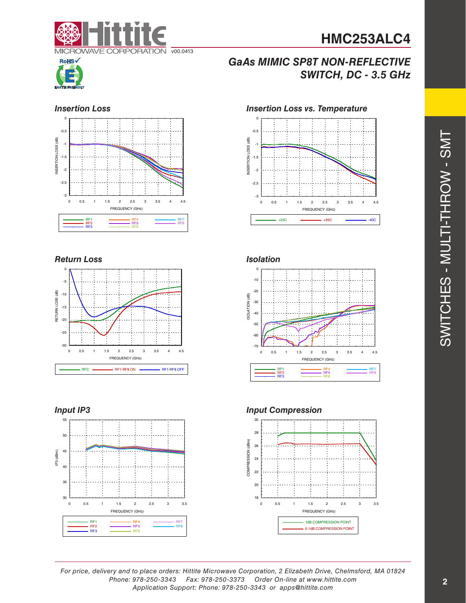# **HMC253ALC4**





## *GaAs MIMIC SP8T NON-REFLECTIVE SWITCH, DC - 3.5 GHz*

### *Insertion Loss*



### *Return Loss*









## *Input IP3 Input Compression*



*For price, delivery and to place orders: Hittite Microwave Corporation, 2 Elizabeth Drive, Chelmsford, MA 01824 Phone: 978-250-3343 Fax: 978-250-3373 Order On-line at www.hittite.com Application Support: Phone: 978-250-3343 or apps@hittite.com*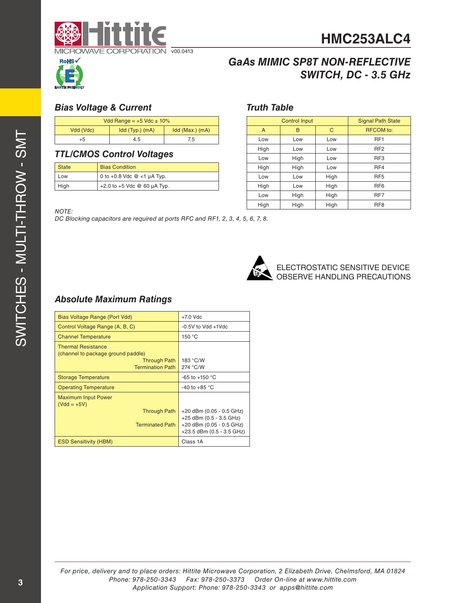



## *GaAs MIMIC SP8T NON-REFLECTIVE SWITCH, DC - 3.5 GHz*

## *Bias Voltage & Current*

| Vdd Range = $+5$ Vdc $\pm$ 10% |                 |                 |  |
|--------------------------------|-----------------|-----------------|--|
| Vdd (Vdc)                      | Idd (Typ.) (mA) | Idd (Max.) (mA) |  |
| +5                             | 4.5             | 75              |  |

## *TTL/CMOS Control Voltages*

| <b>State</b> | <b>Bias Condition</b>           |
|--------------|---------------------------------|
| Low          | 0 to $+0.8$ Vdc $@$ <1 µA Typ.  |
| High         | $+2.0$ to $+5$ Vdc @ 60 µA Typ. |

## *Truth Table*

| <b>Control Input</b> |      |      | <b>Signal Path State</b> |  |
|----------------------|------|------|--------------------------|--|
| A                    | в    | C    | <b>RFCOM</b> to:         |  |
| Low                  | Low  | Low  | RF <sub>1</sub>          |  |
| High                 | Low  | Low  | RF <sub>2</sub>          |  |
| Low                  | High | Low  | RF <sub>3</sub>          |  |
| High                 | High | Low  | RF4                      |  |
| Low                  | Low  | High | RF <sub>5</sub>          |  |
| High                 | Low  | High | RF <sub>6</sub>          |  |
| Low                  | High | High | RF7                      |  |
| High                 | High | High | RF <sub>8</sub>          |  |

### *NOTE:*

*DC Blocking capacitors are required at ports RFC and RF1, 2, 3, 4, 5, 6, 7, 8.*



ELECTROSTATIC SENSITIVE DEVICE OBSERVE HANDLING PRECAUTIONS

## *Absolute Maximum Ratings*

| Bias Voltage Range (Port Vdd)                                   | $+7.0$ Vdc                                            |
|-----------------------------------------------------------------|-------------------------------------------------------|
| Control Voltage Range (A, B, C)                                 | $-0.5V$ to Vdd $+1V$ dc                               |
| <b>Channel Temperature</b>                                      | 150 °C                                                |
| <b>Thermal Resistance</b><br>(channel to package ground paddle) |                                                       |
| <b>Through Path</b>                                             | 183 °C/W                                              |
| <b>Termination Path</b>                                         | 274 °C/W                                              |
|                                                                 |                                                       |
| <b>Storage Temperature</b>                                      | -65 to +150 °C                                        |
| <b>Operating Temperature</b>                                    | -40 to +85 $^{\circ}$ C                               |
| <b>Maximum Input Power</b><br>$(Vdd = +5V)$                     |                                                       |
| <b>Through Path</b>                                             | +20 dBm (0.05 - 0.5 GHz)<br>+25 dBm (0.5 - 3.5 GHz)   |
| <b>Terminated Path</b>                                          | +20 dBm (0.05 - 0.5 GHz)<br>+23.5 dBm (0.5 - 3.5 GHz) |
| <b>ESD Sensitivity (HBM)</b>                                    | Class 1A                                              |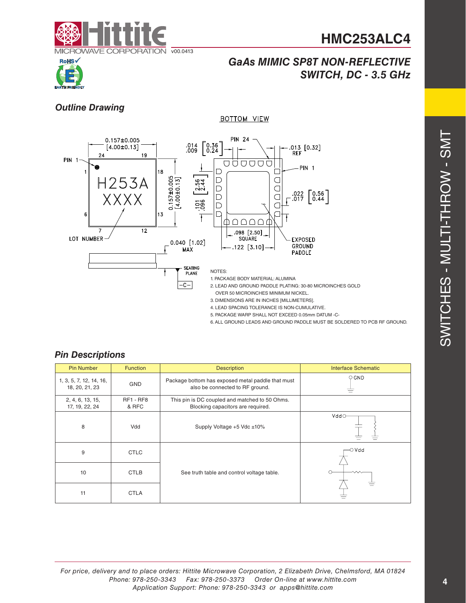





## *Outline Drawing*



**BOTTOM VIEW** 

- 4. LEAD SPACING TOLERANCE IS NON-CUMULATIVE.
- 5. PACKAGE WARP SHALL NOT EXCEED 0.05mm DATUM -C-
- 6. ALL GROUND LEADS AND GROUND PADDLE MUST BE SOLDERED TO PCB RF GROUND.

## *Pin Descriptions*

| <b>Pin Number</b>                         | Function                  | <b>Description</b>                                                                   | <b>Interface Schematic</b> |
|-------------------------------------------|---------------------------|--------------------------------------------------------------------------------------|----------------------------|
| 1, 3, 5, 7, 12, 14, 16,<br>18, 20, 21, 23 | <b>GND</b>                | Package bottom has exposed metal paddle that must<br>also be connected to RF ground. | $\circ$ GND                |
| 2, 4, 6, 13, 15,<br>17, 19, 22, 24        | <b>RF1 - RF8</b><br>& RFC | This pin is DC coupled and matched to 50 Ohms.<br>Blocking capacitors are required.  |                            |
| 8                                         | Vdd                       | Supply Voltage +5 Vdc ±10%                                                           | Vddo                       |
| 9                                         | <b>CTLC</b>               |                                                                                      | −O V dd                    |
| 10                                        | <b>CTLB</b>               | See truth table and control voltage table.                                           |                            |
| 11                                        | <b>CTLA</b>               |                                                                                      |                            |

*For price, delivery and to place orders: Hittite Microwave Corporation, 2 Elizabeth Drive, Chelmsford, MA 01824 Phone: 978-250-3343 Fax: 978-250-3373 Order On-line at www.hittite.com Application Support: Phone: 978-250-3343 or apps@hittite.com*